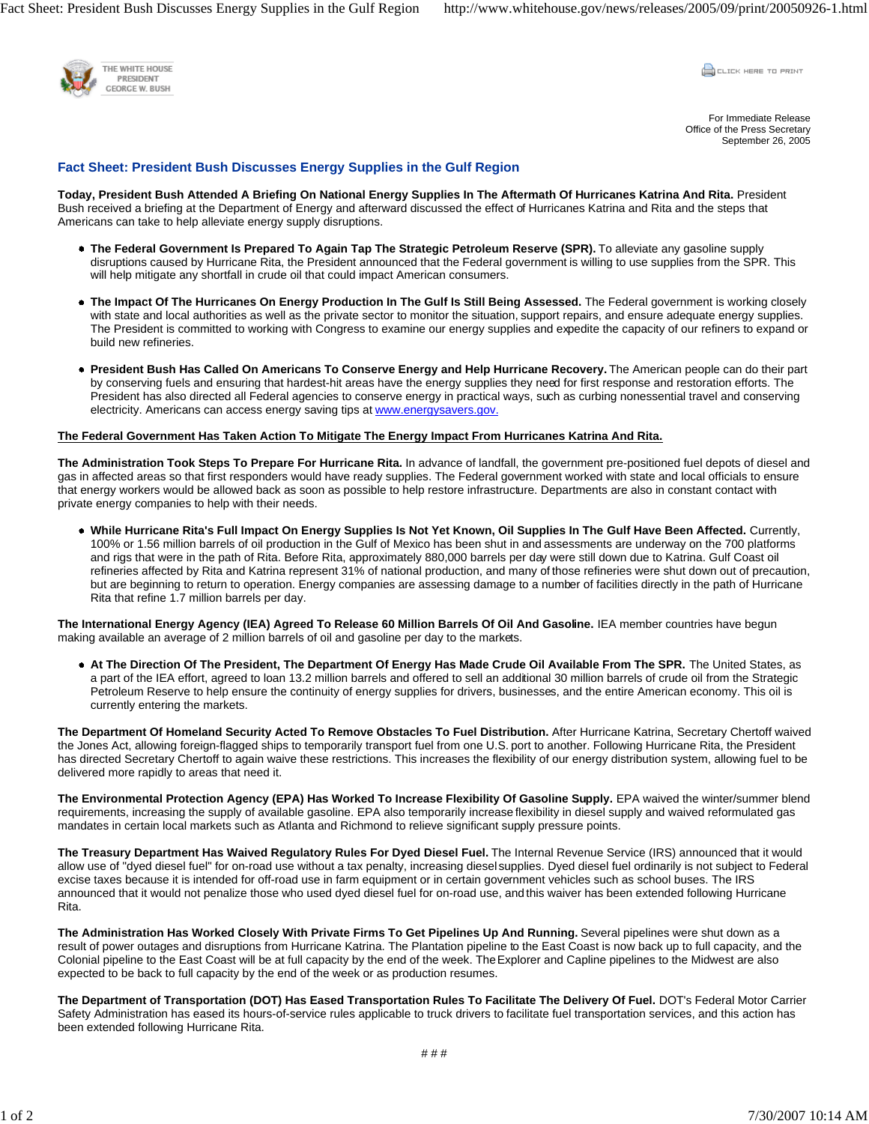

**COLLEK HERE TO PRINT** 

For Immediate Release Office of the Press Secretary September 26, 2005

## **Fact Sheet: President Bush Discusses Energy Supplies in the Gulf Region**

**Today, President Bush Attended A Briefing On National Energy Supplies In The Aftermath Of Hurricanes Katrina And Rita.** President Bush received a briefing at the Department of Energy and afterward discussed the effect of Hurricanes Katrina and Rita and the steps that Americans can take to help alleviate energy supply disruptions.

- **The Federal Government Is Prepared To Again Tap The Strategic Petroleum Reserve (SPR).** To alleviate any gasoline supply disruptions caused by Hurricane Rita, the President announced that the Federal government is willing to use supplies from the SPR. This will help mitigate any shortfall in crude oil that could impact American consumers.
- **The Impact Of The Hurricanes On Energy Production In The Gulf Is Still Being Assessed.** The Federal government is working closely with state and local authorities as well as the private sector to monitor the situation, support repairs, and ensure adequate energy supplies. The President is committed to working with Congress to examine our energy supplies and expedite the capacity of our refiners to expand or build new refineries.
- **President Bush Has Called On Americans To Conserve Energy and Help Hurricane Recovery.** The American people can do their part by conserving fuels and ensuring that hardest-hit areas have the energy supplies they need for first response and restoration efforts. The President has also directed all Federal agencies to conserve energy in practical ways, such as curbing nonessential travel and conserving electricity. Americans can access energy saving tips at www.energysavers.gov.

## **The Federal Government Has Taken Action To Mitigate The Energy Impact From Hurricanes Katrina And Rita.**

**The Administration Took Steps To Prepare For Hurricane Rita.** In advance of landfall, the government pre-positioned fuel depots of diesel and gas in affected areas so that first responders would have ready supplies. The Federal government worked with state and local officials to ensure that energy workers would be allowed back as soon as possible to help restore infrastructure. Departments are also in constant contact with private energy companies to help with their needs.

**While Hurricane Rita's Full Impact On Energy Supplies Is Not Yet Known, Oil Supplies In The Gulf Have Been Affected.** Currently, 100% or 1.56 million barrels of oil production in the Gulf of Mexico has been shut in and assessments are underway on the 700 platforms and rigs that were in the path of Rita. Before Rita, approximately 880,000 barrels per day were still down due to Katrina. Gulf Coast oil refineries affected by Rita and Katrina represent 31% of national production, and many of those refineries were shut down out of precaution, but are beginning to return to operation. Energy companies are assessing damage to a number of facilities directly in the path of Hurricane Rita that refine 1.7 million barrels per day.

**The International Energy Agency (IEA) Agreed To Release 60 Million Barrels Of Oil And Gasoline.** IEA member countries have begun making available an average of 2 million barrels of oil and gasoline per day to the markets.

**At The Direction Of The President, The Department Of Energy Has Made Crude Oil Available From The SPR.** The United States, as a part of the IEA effort, agreed to loan 13.2 million barrels and offered to sell an additional 30 million barrels of crude oil from the Strategic Petroleum Reserve to help ensure the continuity of energy supplies for drivers, businesses, and the entire American economy. This oil is currently entering the markets.

**The Department Of Homeland Security Acted To Remove Obstacles To Fuel Distribution.** After Hurricane Katrina, Secretary Chertoff waived the Jones Act, allowing foreign-flagged ships to temporarily transport fuel from one U.S. port to another. Following Hurricane Rita, the President has directed Secretary Chertoff to again waive these restrictions. This increases the flexibility of our energy distribution system, allowing fuel to be delivered more rapidly to areas that need it.

**The Environmental Protection Agency (EPA) Has Worked To Increase Flexibility Of Gasoline Supply.** EPA waived the winter/summer blend requirements, increasing the supply of available gasoline. EPA also temporarily increase flexibility in diesel supply and waived reformulated gas mandates in certain local markets such as Atlanta and Richmond to relieve significant supply pressure points.

**The Treasury Department Has Waived Regulatory Rules For Dyed Diesel Fuel.** The Internal Revenue Service (IRS) announced that it would allow use of "dyed diesel fuel" for on-road use without a tax penalty, increasing diesel supplies. Dyed diesel fuel ordinarily is not subject to Federal excise taxes because it is intended for off-road use in farm equipment or in certain government vehicles such as school buses. The IRS announced that it would not penalize those who used dyed diesel fuel for on-road use, and this waiver has been extended following Hurricane Rita.

**The Administration Has Worked Closely With Private Firms To Get Pipelines Up And Running.** Several pipelines were shut down as a result of power outages and disruptions from Hurricane Katrina. The Plantation pipeline to the East Coast is now back up to full capacity, and the Colonial pipeline to the East Coast will be at full capacity by the end of the week. The Explorer and Capline pipelines to the Midwest are also expected to be back to full capacity by the end of the week or as production resumes.

**The Department of Transportation (DOT) Has Eased Transportation Rules To Facilitate The Delivery Of Fuel.** DOT's Federal Motor Carrier Safety Administration has eased its hours-of-service rules applicable to truck drivers to facilitate fuel transportation services, and this action has been extended following Hurricane Rita.